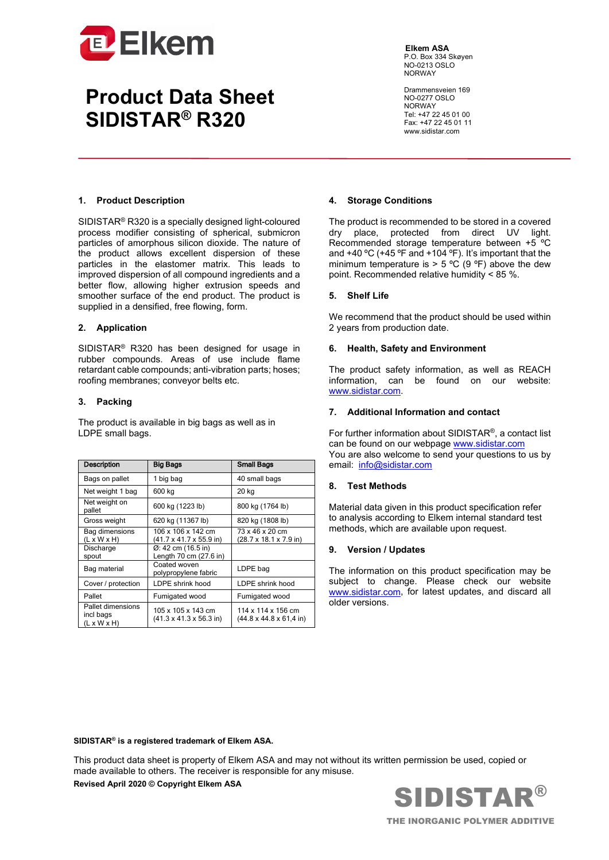

## **Product Data Sheet SIDISTAR® R320**

**Elkem ASA** P.O. Box 334 Skøyen NO-0213 OSLO NORWAY

Drammensveien 169 NO-0277 OSLO NORWAY Tel: +47 22 45 01 00 Fax: +47 22 45 01 11 www.sidistar.com

#### **1. Product Description**

SIDISTAR® R320 is a specially designed light-coloured process modifier consisting of spherical, submicron particles of amorphous silicon dioxide. The nature of the product allows excellent dispersion of these particles in the elastomer matrix. This leads to improved dispersion of all compound ingredients and a better flow, allowing higher extrusion speeds and smoother surface of the end product. The product is supplied in a densified, free flowing, form.

### **2. Application**

SIDISTAR® R320 has been designed for usage in rubber compounds. Areas of use include flame retardant cable compounds; anti-vibration parts; hoses; roofing membranes; conveyor belts etc.

### **3. Packing**

The product is available in big bags as well as in LDPE small bags.

| <b>Description</b>                                        | <b>Big Bags</b>                                                   | <b>Small Bags</b>                                                 |
|-----------------------------------------------------------|-------------------------------------------------------------------|-------------------------------------------------------------------|
| Bags on pallet                                            | 1 big bag                                                         | 40 small bags                                                     |
| Net weight 1 bag                                          | 600 kg                                                            | 20 kg                                                             |
| Net weight on<br>pallet                                   | 600 kg (1223 lb)                                                  | 800 kg (1764 lb)                                                  |
| Gross weight                                              | 620 kg (11367 lb)                                                 | 820 kg (1808 lb)                                                  |
| Bag dimensions<br>$(L \times W \times H)$                 | 106 x 106 x 142 cm<br>(41.7 x 41.7 x 55.9 in)                     | 73 x 46 x 20 cm<br>(28.7 x 18.1 x 7.9 in)                         |
| Discharge<br>spout                                        | $\varnothing$ : 42 cm (16.5 in)<br>Length 70 cm (27.6 in)         |                                                                   |
| Bag material                                              | Coated woven<br>polypropylene fabric                              | LDPE bag                                                          |
| Cover / protection                                        | LDPE shrink hood                                                  | LDPE shrink hood                                                  |
| Pallet                                                    | Fumigated wood                                                    | Fumigated wood                                                    |
| Pallet dimensions<br>incl bags<br>$(L \times W \times H)$ | 105 x 105 x 143 cm<br>$(41.3 \times 41.3 \times 56.3 \text{ in})$ | 114 x 114 x 156 cm<br>$(44.8 \times 44.8 \times 61.4 \text{ in})$ |

#### **4. Storage Conditions**

The product is recommended to be stored in a covered dry place, protected from direct UV light. Recommended storage temperature between +5 ºC and +40 ºC (+45 ºF and +104 ºF). It's important that the minimum temperature is  $> 5 \degree C$  (9 °F) above the dew point. Recommended relative humidity < 85 %.

#### **5. Shelf Life**

We recommend that the product should be used within 2 years from production date.

#### **6. Health, Safety and Environment**

The product safety information, as well as REACH information, can be found on our website: www.sidistar.com.

### **7. Additional Information and contact**

For further information about SIDISTAR®, a contact list can be found on our webpage [www.sidistar.com](http://www.sidistar.com/) You are also welcome to send your questions to us by email: [info@sidistar.com](mailto:info@sidistar.com)

## **8. Test Methods**

Material data given in this product specification refer to analysis according to Elkem internal standard test methods, which are available upon request.

## **9. Version / Updates**

The information on this product specification may be subject to change. Please check our website [www.sidistar.com,](http://www.sidistar.com/) for latest updates, and discard all older versions.

#### **SIDISTAR® is a registered trademark of Elkem ASA.**

This product data sheet is property of Elkem ASA and may not without its written permission be used, copied or made available to others. The receiver is responsible for any misuse.

**Revised April 2020 © Copyright Elkem ASA**